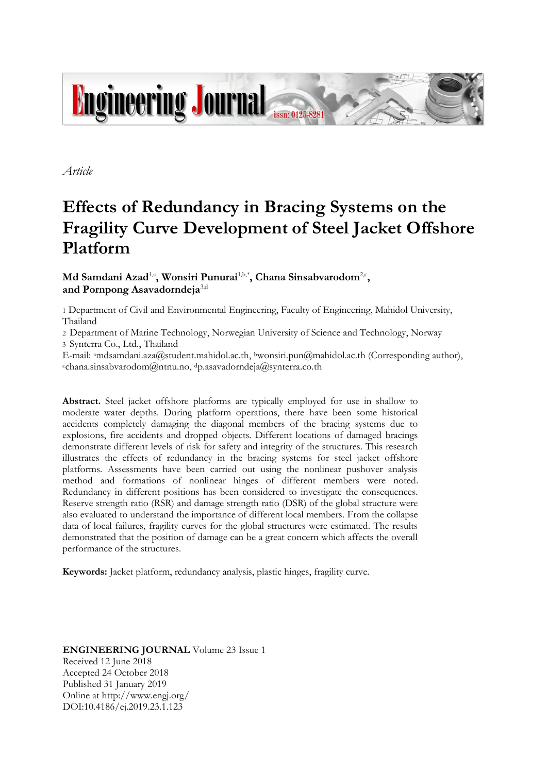

*Article*

# **Effects of Redundancy in Bracing Systems on the Fragility Curve Development of Steel Jacket Offshore Platform**

Md Samdani Azad<sup>1,a</sup>, Wonsiri Punurai<sup>1,b,\*</sup>, Chana Sinsabvarodom<sup>2,c</sup>, **and Pornpong Asavadorndeja**3,d

1 Department of Civil and Environmental Engineering, Faculty of Engineering, Mahidol University, Thailand

2 Department of Marine Technology, Norwegian University of Science and Technology, Norway 3 Synterra Co., Ltd., Thailand

E-mail: <sup>a</sup>mdsamdani.aza@student.mahidol.ac.th, <sup>b</sup>wonsiri.pun@mahidol.ac.th (Corresponding author), <sup>c</sup>chana.sinsabvarodom@ntnu.no, <sup>d</sup>p.asavadorndeja@synterra.co.th

**Abstract.** Steel jacket offshore platforms are typically employed for use in shallow to moderate water depths. During platform operations, there have been some historical accidents completely damaging the diagonal members of the bracing systems due to explosions, fire accidents and dropped objects. Different locations of damaged bracings demonstrate different levels of risk for safety and integrity of the structures. This research illustrates the effects of redundancy in the bracing systems for steel jacket offshore platforms. Assessments have been carried out using the nonlinear pushover analysis method and formations of nonlinear hinges of different members were noted. Redundancy in different positions has been considered to investigate the consequences. Reserve strength ratio (RSR) and damage strength ratio (DSR) of the global structure were also evaluated to understand the importance of different local members. From the collapse data of local failures, fragility curves for the global structures were estimated. The results demonstrated that the position of damage can be a great concern which affects the overall performance of the structures.

**Keywords:** Jacket platform, redundancy analysis, plastic hinges, fragility curve.

**ENGINEERING JOURNAL** Volume 23 Issue 1 Received 12 June 2018 Accepted 24 October 2018 Published 31 January 2019 Online at http://www.engj.org/ DOI:10.4186/ej.2019.23.1.123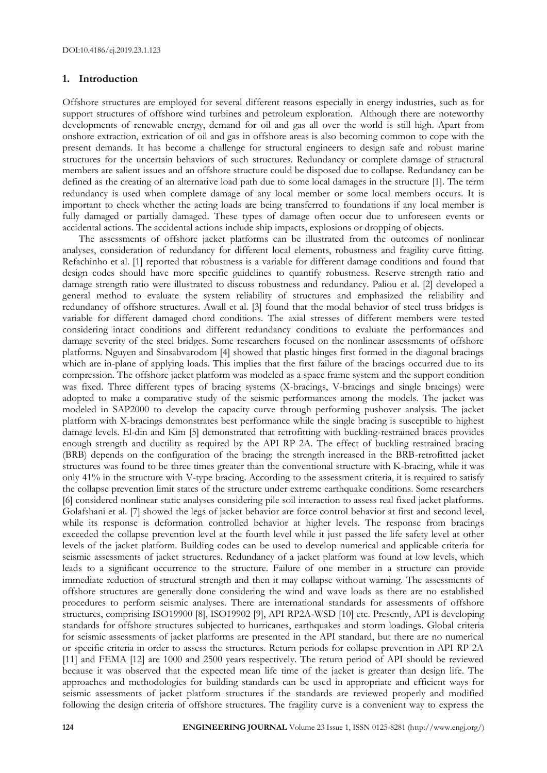#### **1. Introduction**

Offshore structures are employed for several different reasons especially in energy industries, such as for support structures of offshore wind turbines and petroleum exploration. Although there are noteworthy developments of renewable energy, demand for oil and gas all over the world is still high. Apart from onshore extraction, extrication of oil and gas in offshore areas is also becoming common to cope with the present demands. It has become a challenge for structural engineers to design safe and robust marine structures for the uncertain behaviors of such structures. Redundancy or complete damage of structural members are salient issues and an offshore structure could be disposed due to collapse. Redundancy can be defined as the creating of an alternative load path due to some local damages in the structure [1]. The term redundancy is used when complete damage of any local member or some local members occurs. It is important to check whether the acting loads are being transferred to foundations if any local member is fully damaged or partially damaged. These types of damage often occur due to unforeseen events or accidental actions. The accidental actions include ship impacts, explosions or dropping of objects.

The assessments of offshore jacket platforms can be illustrated from the outcomes of nonlinear analyses, consideration of redundancy for different local elements, robustness and fragility curve fitting. Refachinho et al. [1] reported that robustness is a variable for different damage conditions and found that design codes should have more specific guidelines to quantify robustness. Reserve strength ratio and damage strength ratio were illustrated to discuss robustness and redundancy. Paliou et al. [2] developed a general method to evaluate the system reliability of structures and emphasized the reliability and redundancy of offshore structures. Awall et al. [3] found that the modal behavior of steel truss bridges is variable for different damaged chord conditions. The axial stresses of different members were tested considering intact conditions and different redundancy conditions to evaluate the performances and damage severity of the steel bridges. Some researchers focused on the nonlinear assessments of offshore platforms. Nguyen and Sinsabvarodom [4] showed that plastic hinges first formed in the diagonal bracings which are in-plane of applying loads. This implies that the first failure of the bracings occurred due to its compression. The offshore jacket platform was modeled as a space frame system and the support condition was fixed. Three different types of bracing systems (X-bracings, V-bracings and single bracings) were adopted to make a comparative study of the seismic performances among the models. The jacket was modeled in SAP2000 to develop the capacity curve through performing pushover analysis. The jacket platform with X-bracings demonstrates best performance while the single bracing is susceptible to highest damage levels. El-din and Kim [5] demonstrated that retrofitting with buckling-restrained braces provides enough strength and ductility as required by the API RP 2A. The effect of buckling restrained bracing (BRB) depends on the configuration of the bracing: the strength increased in the BRB-retrofitted jacket structures was found to be three times greater than the conventional structure with K-bracing, while it was only 41% in the structure with V-type bracing. According to the assessment criteria, it is required to satisfy the collapse prevention limit states of the structure under extreme earthquake conditions. Some researchers [6] considered nonlinear static analyses considering pile soil interaction to assess real fixed jacket platforms. Golafshani et al. [7] showed the legs of jacket behavior are force control behavior at first and second level, while its response is deformation controlled behavior at higher levels. The response from bracings exceeded the collapse prevention level at the fourth level while it just passed the life safety level at other levels of the jacket platform. Building codes can be used to develop numerical and applicable criteria for seismic assessments of jacket structures. Redundancy of a jacket platform was found at low levels, which leads to a significant occurrence to the structure. Failure of one member in a structure can provide immediate reduction of structural strength and then it may collapse without warning. The assessments of offshore structures are generally done considering the wind and wave loads as there are no established procedures to perform seismic analyses. There are international standards for assessments of offshore structures, comprising ISO19900 [8], ISO19902 [9], API RP2A-WSD [10] etc. Presently, API is developing standards for offshore structures subjected to hurricanes, earthquakes and storm loadings. Global criteria for seismic assessments of jacket platforms are presented in the API standard, but there are no numerical or specific criteria in order to assess the structures. Return periods for collapse prevention in API RP 2A [11] and FEMA [12] are 1000 and 2500 years respectively. The return period of API should be reviewed because it was observed that the expected mean life time of the jacket is greater than design life. The approaches and methodologies for building standards can be used in appropriate and efficient ways for seismic assessments of jacket platform structures if the standards are reviewed properly and modified following the design criteria of offshore structures. The fragility curve is a convenient way to express the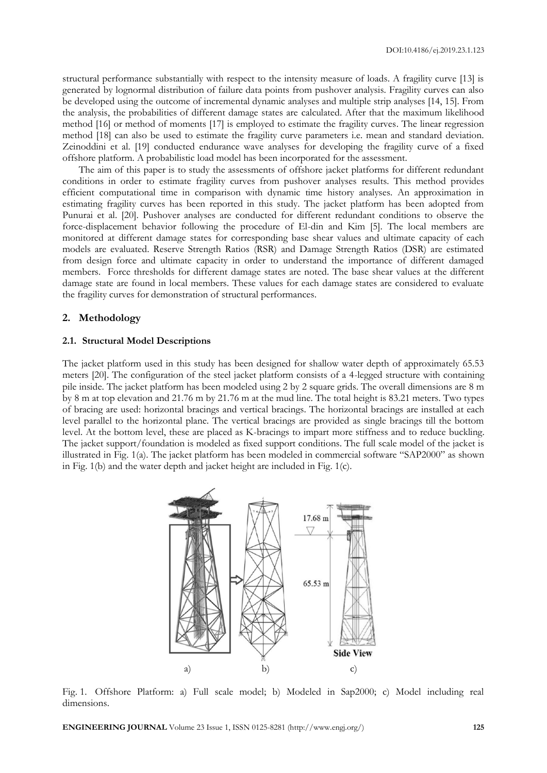structural performance substantially with respect to the intensity measure of loads. A fragility curve [13] is generated by lognormal distribution of failure data points from pushover analysis. Fragility curves can also be developed using the outcome of incremental dynamic analyses and multiple strip analyses [14, 15]. From the analysis, the probabilities of different damage states are calculated. After that the maximum likelihood method [16] or method of moments [17] is employed to estimate the fragility curves. The linear regression method [18] can also be used to estimate the fragility curve parameters i.e. mean and standard deviation. Zeinoddini et al. [19] conducted endurance wave analyses for developing the fragility curve of a fixed offshore platform. A probabilistic load model has been incorporated for the assessment.

The aim of this paper is to study the assessments of offshore jacket platforms for different redundant conditions in order to estimate fragility curves from pushover analyses results. This method provides efficient computational time in comparison with dynamic time history analyses. An approximation in estimating fragility curves has been reported in this study. The jacket platform has been adopted from Punurai et al. [20]. Pushover analyses are conducted for different redundant conditions to observe the force-displacement behavior following the procedure of El-din and Kim [5]. The local members are monitored at different damage states for corresponding base shear values and ultimate capacity of each models are evaluated. Reserve Strength Ratios (RSR) and Damage Strength Ratios (DSR) are estimated from design force and ultimate capacity in order to understand the importance of different damaged members. Force thresholds for different damage states are noted. The base shear values at the different damage state are found in local members. These values for each damage states are considered to evaluate the fragility curves for demonstration of structural performances.

## **2. Methodology**

### **2.1. Structural Model Descriptions**

The jacket platform used in this study has been designed for shallow water depth of approximately 65.53 meters [20]. The configuration of the steel jacket platform consists of a 4-legged structure with containing pile inside. The jacket platform has been modeled using 2 by 2 square grids. The overall dimensions are 8 m by 8 m at top elevation and 21.76 m by 21.76 m at the mud line. The total height is 83.21 meters. Two types of bracing are used: horizontal bracings and vertical bracings. The horizontal bracings are installed at each level parallel to the horizontal plane. The vertical bracings are provided as single bracings till the bottom level. At the bottom level, these are placed as K-bracings to impart more stiffness and to reduce buckling. The jacket support/foundation is modeled as fixed support conditions. The full scale model of the jacket is illustrated in Fig. 1(a). The jacket platform has been modeled in commercial software "SAP2000" as shown in Fig. 1(b) and the water depth and jacket height are included in Fig. 1(c).



Fig. 1. Offshore Platform: a) Full scale model; b) Modeled in Sap2000; c) Model including real dimensions.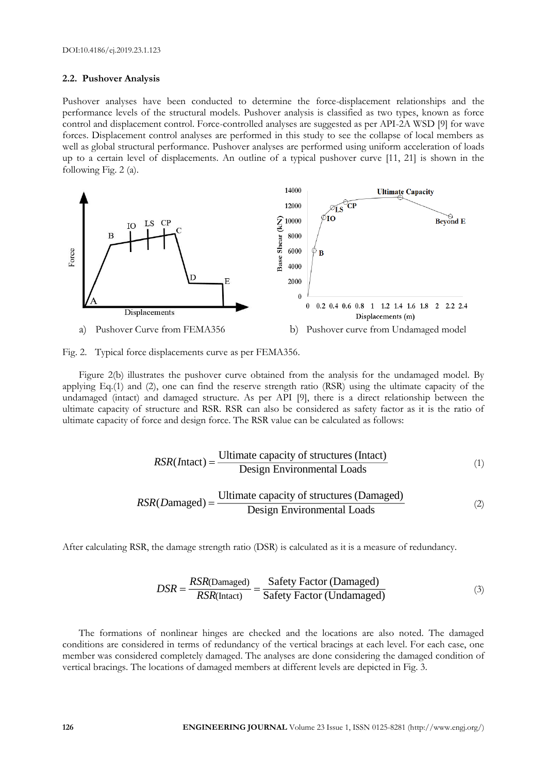#### **2.2. Pushover Analysis**

Pushover analyses have been conducted to determine the force-displacement relationships and the performance levels of the structural models. Pushover analysis is classified as two types, known as force control and displacement control. Force-controlled analyses are suggested as per API-2A WSD [9] for wave forces. Displacement control analyses are performed in this study to see the collapse of local members as well as global structural performance. Pushover analyses are performed using uniform acceleration of loads up to a certain level of displacements. An outline of a typical pushover curve [11, 21] is shown in the following Fig. 2 (a).





Figure 2(b) illustrates the pushover curve obtained from the analysis for the undamaged model. By applying Eq.(1) and (2), one can find the reserve strength ratio (RSR) using the ultimate capacity of the undamaged (intact) and damaged structure. As per API [9], there is a direct relationship between the ultimate capacity of structure and RSR. RSR can also be considered as safety factor as it is the ratio of ultimate capacity of force and design force. The RSR value can be calculated as follows:

$$
RSR(Intact) = \frac{\text{Ultimate capacity of structures (Intact)} }{\text{Design Environmental Loads}} \tag{1}
$$

$$
RSR(Damaged) = \frac{\text{Ultimate capacity of structures (Damaged)}}{\text{Design Environmental loads}}\tag{2}
$$

After calculating RSR, the damage strength ratio (DSR) is calculated as it is a measure of redundancy.

$$
DSR = \frac{RSR(Damaged)}{RSR(Intact)} = \frac{Safety Factor (Damaged)}{Safety Factor (Undamaged)}
$$
(3)

The formations of nonlinear hinges are checked and the locations are also noted. The damaged conditions are considered in terms of redundancy of the vertical bracings at each level. For each case, one member was considered completely damaged. The analyses are done considering the damaged condition of vertical bracings. The locations of damaged members at different levels are depicted in Fig. 3.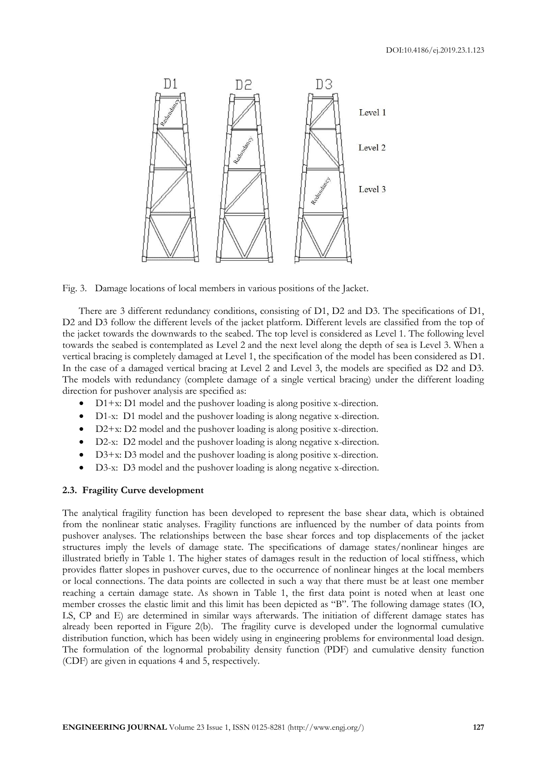

Fig. 3. Damage locations of local members in various positions of the Jacket.

There are 3 different redundancy conditions, consisting of D1, D2 and D3. The specifications of D1, D2 and D3 follow the different levels of the jacket platform. Different levels are classified from the top of the jacket towards the downwards to the seabed. The top level is considered as Level 1. The following level towards the seabed is contemplated as Level 2 and the next level along the depth of sea is Level 3. When a vertical bracing is completely damaged at Level 1, the specification of the model has been considered as D1. In the case of a damaged vertical bracing at Level 2 and Level 3, the models are specified as D2 and D3. The models with redundancy (complete damage of a single vertical bracing) under the different loading direction for pushover analysis are specified as:

- D1+x: D1 model and the pushover loading is along positive x-direction.
- D1-x: D1 model and the pushover loading is along negative x-direction.
- D2+x: D2 model and the pushover loading is along positive x-direction.
- D2-x: D2 model and the pushover loading is along negative x-direction.
- D3+x: D3 model and the pushover loading is along positive x-direction.
- D3-x: D3 model and the pushover loading is along negative x-direction.

### **2.3. Fragility Curve development**

The analytical fragility function has been developed to represent the base shear data, which is obtained from the nonlinear static analyses. Fragility functions are influenced by the number of data points from pushover analyses. The relationships between the base shear forces and top displacements of the jacket structures imply the levels of damage state. The specifications of damage states/nonlinear hinges are illustrated briefly in Table 1. The higher states of damages result in the reduction of local stiffness, which provides flatter slopes in pushover curves, due to the occurrence of nonlinear hinges at the local members or local connections. The data points are collected in such a way that there must be at least one member reaching a certain damage state. As shown in Table 1, the first data point is noted when at least one member crosses the elastic limit and this limit has been depicted as "B". The following damage states (IO, LS, CP and E) are determined in similar ways afterwards. The initiation of different damage states has already been reported in Figure 2(b). The fragility curve is developed under the lognormal cumulative distribution function, which has been widely using in engineering problems for environmental load design. The formulation of the lognormal probability density function (PDF) and cumulative density function (CDF) are given in equations 4 and 5, respectively.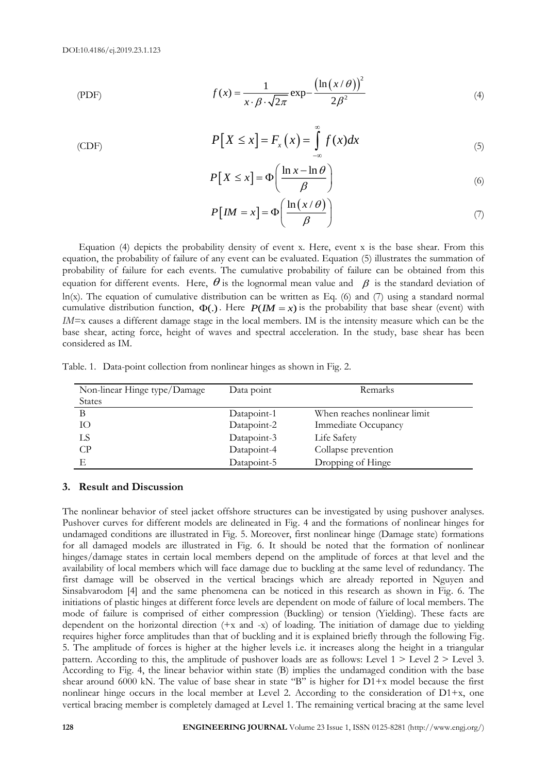(CDF)

$$
f(x) = \frac{1}{x \cdot \beta \cdot \sqrt{2\pi}} \exp{-\frac{\left(\ln(x/\theta)\right)^2}{2\beta^2}}
$$
(4)

$$
P[X \le x] = F_x(x) = \int_{-\infty}^{\infty} f(x) dx
$$
 (5)

$$
P[X \le x] = \Phi\left(\frac{\ln x - \ln \theta}{\beta}\right)
$$
 (6)

$$
P[IM = x] = \Phi\left(\frac{\ln(x/\theta)}{\beta}\right) \tag{7}
$$

Equation (4) depicts the probability density of event x. Here, event x is the base shear. From this equation, the probability of failure of any event can be evaluated. Equation (5) illustrates the summation of probability of failure for each events. The cumulative probability of failure can be obtained from this equation for different events. Here,  $\theta$  is the lognormal mean value and  $\ \beta$  is the standard deviation of ln(x). The equation of cumulative distribution can be written as Eq. (6) and (7) using a standard normal cumulative distribution function,  $\Phi(.)$ . Here  $P(IM = x)$  is the probability that base shear (event) with *IM=*x causes a different damage stage in the local members. IM is the intensity measure which can be the base shear, acting force, height of waves and spectral acceleration. In the study, base shear has been considered as IM.

Table. 1. Data-point collection from nonlinear hinges as shown in Fig. 2.

| Non-linear Hinge type/Damage | Data point  | Remarks                      |
|------------------------------|-------------|------------------------------|
| <b>States</b>                |             |                              |
| В                            | Datapoint-1 | When reaches nonlinear limit |
| Ю                            | Datapoint-2 | Immediate Occupancy          |
| LS                           | Datapoint-3 | Life Safety                  |
| CP                           | Datapoint-4 | Collapse prevention          |
|                              | Datapoint-5 | Dropping of Hinge            |

## **3. Result and Discussion**

The nonlinear behavior of steel jacket offshore structures can be investigated by using pushover analyses. Pushover curves for different models are delineated in Fig. 4 and the formations of nonlinear hinges for undamaged conditions are illustrated in Fig. 5. Moreover, first nonlinear hinge (Damage state) formations for all damaged models are illustrated in Fig. 6. It should be noted that the formation of nonlinear hinges/damage states in certain local members depend on the amplitude of forces at that level and the availability of local members which will face damage due to buckling at the same level of redundancy. The first damage will be observed in the vertical bracings which are already reported in Nguyen and Sinsabvarodom [4] and the same phenomena can be noticed in this research as shown in Fig. 6. The initiations of plastic hinges at different force levels are dependent on mode of failure of local members. The mode of failure is comprised of either compression (Buckling) or tension (Yielding). These facts are dependent on the horizontal direction (+x and -x) of loading. The initiation of damage due to yielding requires higher force amplitudes than that of buckling and it is explained briefly through the following Fig. 5. The amplitude of forces is higher at the higher levels i.e. it increases along the height in a triangular pattern. According to this, the amplitude of pushover loads are as follows: Level 1 > Level 2 > Level 3. According to Fig. 4, the linear behavior within state (B) implies the undamaged condition with the base shear around 6000 kN. The value of base shear in state "B" is higher for  $D1+x$  model because the first nonlinear hinge occurs in the local member at Level 2. According to the consideration of  $D1+x$ , one vertical bracing member is completely damaged at Level 1. The remaining vertical bracing at the same level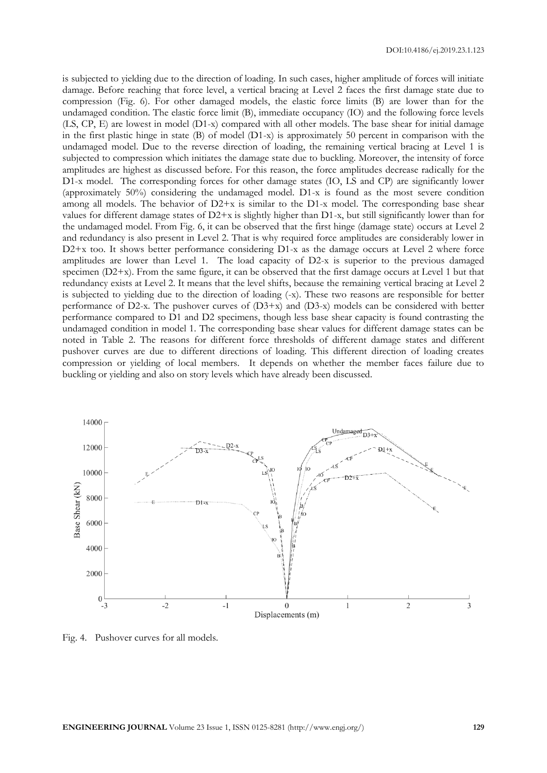is subjected to yielding due to the direction of loading. In such cases, higher amplitude of forces will initiate damage. Before reaching that force level, a vertical bracing at Level 2 faces the first damage state due to compression (Fig. 6). For other damaged models, the elastic force limits (B) are lower than for the undamaged condition. The elastic force limit (B), immediate occupancy (IO) and the following force levels (LS, CP, E) are lowest in model (D1-x) compared with all other models. The base shear for initial damage in the first plastic hinge in state (B) of model (D1-x) is approximately 50 percent in comparison with the undamaged model. Due to the reverse direction of loading, the remaining vertical bracing at Level 1 is subjected to compression which initiates the damage state due to buckling. Moreover, the intensity of force amplitudes are highest as discussed before. For this reason, the force amplitudes decrease radically for the D1-x model. The corresponding forces for other damage states (IO, LS and CP) are significantly lower (approximately 50%) considering the undamaged model. D1-x is found as the most severe condition among all models. The behavior of  $D2+x$  is similar to the D1-x model. The corresponding base shear values for different damage states of  $D2+x$  is slightly higher than  $D1-x$ , but still significantly lower than for the undamaged model. From Fig. 6, it can be observed that the first hinge (damage state) occurs at Level 2 and redundancy is also present in Level 2. That is why required force amplitudes are considerably lower in D2+x too. It shows better performance considering D1-x as the damage occurs at Level 2 where force amplitudes are lower than Level 1. The load capacity of D2-x is superior to the previous damaged specimen  $(D2+x)$ . From the same figure, it can be observed that the first damage occurs at Level 1 but that redundancy exists at Level 2. It means that the level shifts, because the remaining vertical bracing at Level 2 is subjected to yielding due to the direction of loading (-x). These two reasons are responsible for better performance of D2-x. The pushover curves of (D3+x) and (D3-x) models can be considered with better performance compared to D1 and D2 specimens, though less base shear capacity is found contrasting the undamaged condition in model 1. The corresponding base shear values for different damage states can be noted in Table 2. The reasons for different force thresholds of different damage states and different pushover curves are due to different directions of loading. This different direction of loading creates compression or yielding of local members. It depends on whether the member faces failure due to buckling or yielding and also on story levels which have already been discussed.



Fig. 4. Pushover curves for all models.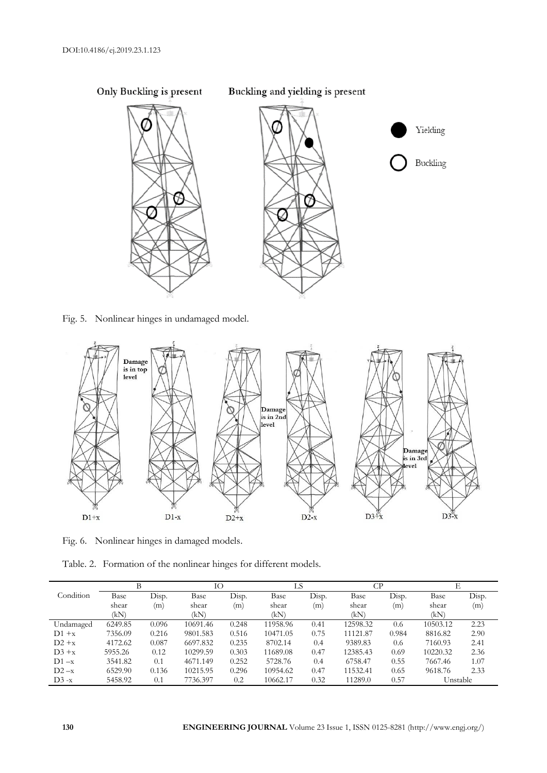

Fig. 5. Nonlinear hinges in undamaged model.



Fig. 6. Nonlinear hinges in damaged models.

Table. 2. Formation of the nonlinear hinges for different models.

|           | В       |       | IО       |       | LS       | CP    |          | Е     |          |       |
|-----------|---------|-------|----------|-------|----------|-------|----------|-------|----------|-------|
| Condition | Base    | Disp. | Base     | Disp. | Base     | Disp. | Base     | Disp. | Base     | Disp. |
|           | shear   | (m)   | shear    | (m)   | shear    | (m)   | shear    | (m)   | shear    | (m)   |
|           | (kN)    |       | (kN)     |       | (kN)     |       | (kN)     |       | (kN)     |       |
| Undamaged | 6249.85 | 0.096 | 10691.46 | 0.248 | 11958.96 | 0.41  | 12598.32 | 0.6   | 10503.12 | 2.23  |
| $D1 + x$  | 7356.09 | 0.216 | 9801.583 | 0.516 | 10471.05 | 0.75  | 11121.87 | 0.984 | 8816.82  | 2.90  |
| $D2 + x$  | 4172.62 | 0.087 | 6697.832 | 0.235 | 8702.14  | 0.4   | 9389.83  | 0.6   | 7160.93  | 2.41  |
| $D3 + x$  | 5955.26 | 0.12  | 10299.59 | 0.303 | 11689.08 | 0.47  | 12385.43 | 0.69  | 10220.32 | 2.36  |
| $D1 - x$  | 3541.82 | 0.1   | 4671.149 | 0.252 | 5728.76  | 0.4   | 6758.47  | 0.55  | 7667.46  | 1.07  |
| $D2 - x$  | 6529.90 | 0.136 | 10215.95 | 0.296 | 10954.62 | 0.47  | 11532.41 | 0.65  | 9618.76  | 2.33  |
| $D3 - x$  | 5458.92 | 0.1   | 7736.397 | 0.2   | 10662.17 | 0.32  | 11289.0  | 0.57  | Unstable |       |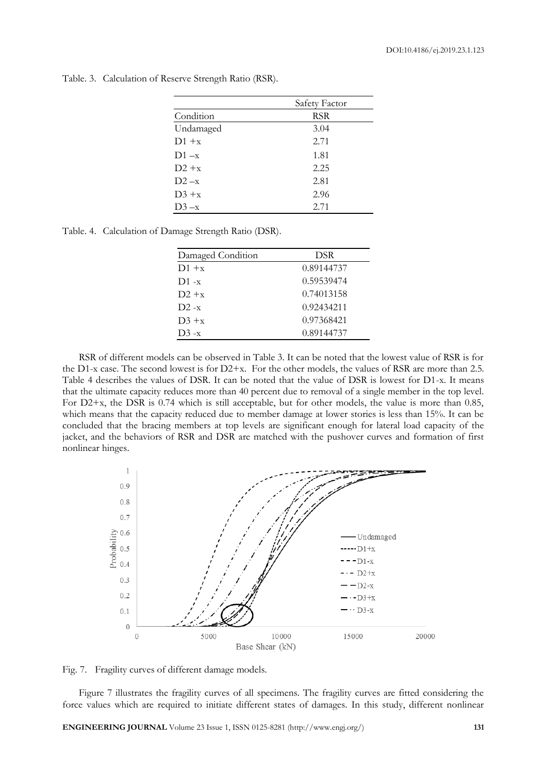|           | Safety Factor |
|-----------|---------------|
| Condition | RSR           |
| Undamaged | 3.04          |
| $D1 + x$  | 2.71          |
| $D1 - x$  | 1.81          |
| $D2 + x$  | 2.25          |
| $D2 - x$  | 2.81          |
| $D3 + x$  | 2.96          |
| $D3 - x$  | 2.71          |

Table. 3. Calculation of Reserve Strength Ratio (RSR).

Table. 4. Calculation of Damage Strength Ratio (DSR).

| Damaged Condition | DSR        |
|-------------------|------------|
| $D1 + x$          | 0.89144737 |
| $D1 - x$          | 0.59539474 |
| $D2 + x$          | 0.74013158 |
| $D2 - x$          | 0.92434211 |
| $D_3 + x$         | 0.97368421 |
| $D3 - x$          | 0.89144737 |
|                   |            |

RSR of different models can be observed in Table 3. It can be noted that the lowest value of RSR is for the D1-x case. The second lowest is for  $D2+x$ . For the other models, the values of RSR are more than 2.5. Table 4 describes the values of DSR. It can be noted that the value of DSR is lowest for D1-x. It means that the ultimate capacity reduces more than 40 percent due to removal of a single member in the top level. For D2+x, the DSR is 0.74 which is still acceptable, but for other models, the value is more than 0.85, which means that the capacity reduced due to member damage at lower stories is less than 15%. It can be concluded that the bracing members at top levels are significant enough for lateral load capacity of the jacket, and the behaviors of RSR and DSR are matched with the pushover curves and formation of first nonlinear hinges.



Fig. 7. Fragility curves of different damage models.

Figure 7 illustrates the fragility curves of all specimens. The fragility curves are fitted considering the force values which are required to initiate different states of damages. In this study, different nonlinear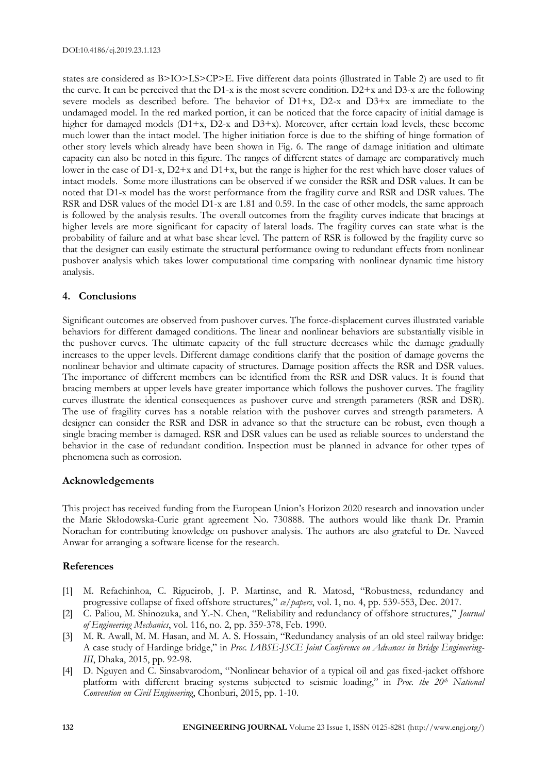states are considered as B>IO>LS>CP>E. Five different data points (illustrated in Table 2) are used to fit the curve. It can be perceived that the D1-x is the most severe condition.  $D2+x$  and D3-x are the following severe models as described before. The behavior of D1+x, D2-x and D3+x are immediate to the undamaged model. In the red marked portion, it can be noticed that the force capacity of initial damage is higher for damaged models (D1+x, D2-x and D3+x). Moreover, after certain load levels, these become much lower than the intact model. The higher initiation force is due to the shifting of hinge formation of other story levels which already have been shown in Fig. 6. The range of damage initiation and ultimate capacity can also be noted in this figure. The ranges of different states of damage are comparatively much lower in the case of D1-x, D2+x and D1+x, but the range is higher for the rest which have closer values of intact models. Some more illustrations can be observed if we consider the RSR and DSR values. It can be noted that D1-x model has the worst performance from the fragility curve and RSR and DSR values. The RSR and DSR values of the model D1-x are 1.81 and 0.59. In the case of other models, the same approach is followed by the analysis results. The overall outcomes from the fragility curves indicate that bracings at higher levels are more significant for capacity of lateral loads. The fragility curves can state what is the probability of failure and at what base shear level. The pattern of RSR is followed by the fragility curve so that the designer can easily estimate the structural performance owing to redundant effects from nonlinear pushover analysis which takes lower computational time comparing with nonlinear dynamic time history analysis.

## **4. Conclusions**

Significant outcomes are observed from pushover curves. The force-displacement curves illustrated variable behaviors for different damaged conditions. The linear and nonlinear behaviors are substantially visible in the pushover curves. The ultimate capacity of the full structure decreases while the damage gradually increases to the upper levels. Different damage conditions clarify that the position of damage governs the nonlinear behavior and ultimate capacity of structures. Damage position affects the RSR and DSR values. The importance of different members can be identified from the RSR and DSR values. It is found that bracing members at upper levels have greater importance which follows the pushover curves. The fragility curves illustrate the identical consequences as pushover curve and strength parameters (RSR and DSR). The use of fragility curves has a notable relation with the pushover curves and strength parameters. A designer can consider the RSR and DSR in advance so that the structure can be robust, even though a single bracing member is damaged. RSR and DSR values can be used as reliable sources to understand the behavior in the case of redundant condition. Inspection must be planned in advance for other types of phenomena such as corrosion.

#### **Acknowledgements**

This project has received funding from the European Union's Horizon 2020 research and innovation under the Marie Skłodowska-Curie grant agreement No. 730888. The authors would like thank Dr. Pramin Norachan for contributing knowledge on pushover analysis. The authors are also grateful to Dr. Naveed Anwar for arranging a software license for the research.

#### **References**

- [1] M. Refachinhoa, C. Rigueirob, J. P. Martinsc, and R. Matosd, "Robustness, redundancy and progressive collapse of fixed offshore structures," *ce/papers*, vol. 1, no. 4, pp. 539-553, Dec. 2017.
- [2] C. Paliou, M. Shinozuka, and Y.-N. Chen, "Reliability and redundancy of offshore structures," *Journal of Engineering Mechanics*, vol. 116, no. 2, pp. 359-378, Feb. 1990.
- [3] M. R. Awall, M. M. Hasan, and M. A. S. Hossain, "Redundancy analysis of an old steel railway bridge: A case study of Hardinge bridge," in *Proc. IABSE-JSCE Joint Conference on Advances in Bridge Engineering-III*, Dhaka, 2015, pp. 92-98.
- [4] D. Nguyen and C. Sinsabvarodom, "Nonlinear behavior of a typical oil and gas fixed-jacket offshore platform with different bracing systems subjected to seismic loading," in *Proc. the 20th National Convention on Civil Engineering*, Chonburi, 2015, pp. 1-10.